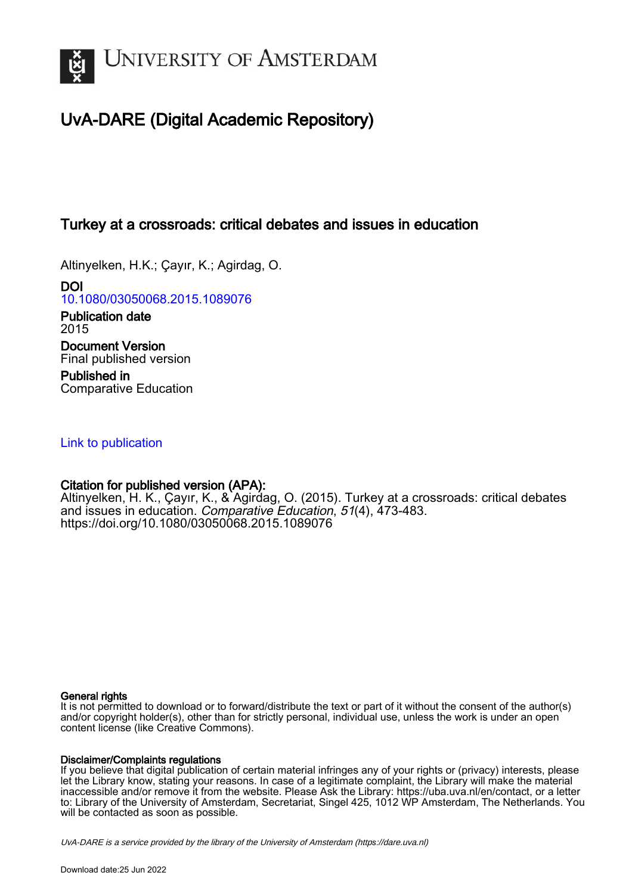

# UvA-DARE (Digital Academic Repository)

# Turkey at a crossroads: critical debates and issues in education

Altinyelken, H.K.; Çayır, K.; Agirdag, O.

DOI [10.1080/03050068.2015.1089076](https://doi.org/10.1080/03050068.2015.1089076)

Publication date 2015 Document Version Final published version

Published in Comparative Education

# [Link to publication](https://dare.uva.nl/personal/pure/en/publications/turkey-at-a-crossroads-critical-debates-and-issues-in-education(74ed9bc4-2a88-4a85-8b7c-4991f861f1c8).html)

# Citation for published version (APA):

Altinyelken, H. K., Çayır, K., & Agirdag, O. (2015). Turkey at a crossroads: critical debates and issues in education. Comparative Education, 51(4), 473-483. <https://doi.org/10.1080/03050068.2015.1089076>

# General rights

It is not permitted to download or to forward/distribute the text or part of it without the consent of the author(s) and/or copyright holder(s), other than for strictly personal, individual use, unless the work is under an open content license (like Creative Commons).

# Disclaimer/Complaints regulations

If you believe that digital publication of certain material infringes any of your rights or (privacy) interests, please let the Library know, stating your reasons. In case of a legitimate complaint, the Library will make the material inaccessible and/or remove it from the website. Please Ask the Library: https://uba.uva.nl/en/contact, or a letter to: Library of the University of Amsterdam, Secretariat, Singel 425, 1012 WP Amsterdam, The Netherlands. You will be contacted as soon as possible.

UvA-DARE is a service provided by the library of the University of Amsterdam (http*s*://dare.uva.nl)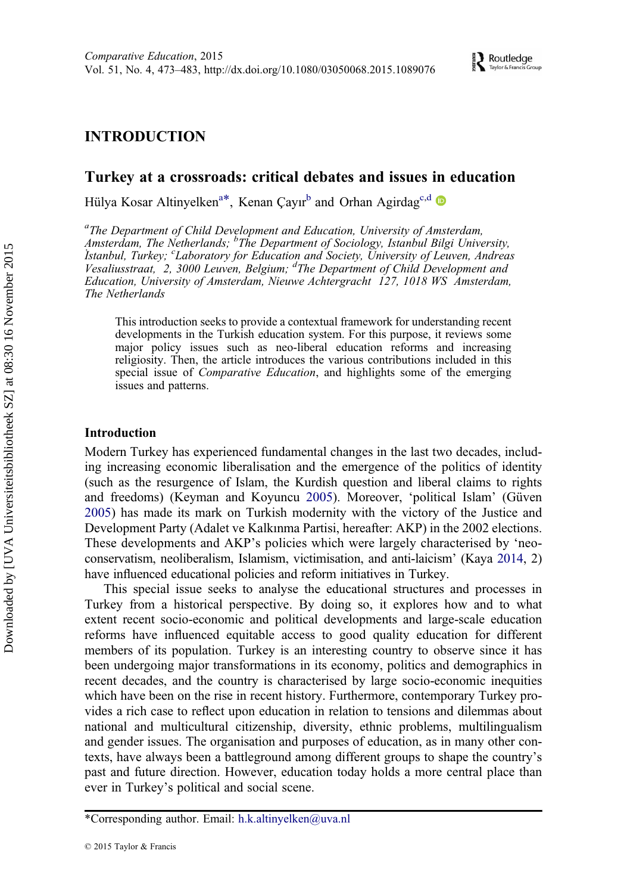# INTRODUCTION

# Turkey at a crossroads: critical debates and issues in education

Hülya Kosar Altinyelken<sup>a\*</sup>, Kenan Çayır<sup>b</sup> and Orhan Agirdag<sup>c,d</sup>

<sup>a</sup>The Department of Child Development and Education, University of Amsterdam, Amsterdam, The Netherlands; <sup>b</sup>The Department of Sociology, Istanbul Bilgi University, Istanbul, Turkey; <sup>c</sup>Laboratory for Education and Society, University of Leuven, Andreas Vesaliusstraat, 2, 3000 Leuven, Belgium; <sup>d</sup>The Department of Child Development and Education, University of Amsterdam, Nieuwe Achtergracht 127, 1018 WS Amsterdam, The Netherlands

This introduction seeks to provide a contextual framework for understanding recent developments in the Turkish education system. For this purpose, it reviews some major policy issues such as neo-liberal education reforms and increasing religiosity. Then, the article introduces the various contributions included in this special issue of *Comparative Education*, and highlights some of the emerging issues and patterns.

#### Introduction

Modern Turkey has experienced fundamental changes in the last two decades, including increasing economic liberalisation and the emergence of the politics of identity (such as the resurgence of Islam, the Kurdish question and liberal claims to rights and freedoms) (Keyman and Koyuncu [2005\)](#page-11-0). Moreover, 'political Islam' (Güven [2005\)](#page-11-0) has made its mark on Turkish modernity with the victory of the Justice and Development Party (Adalet ve Kalkınma Partisi, hereafter: AKP) in the 2002 elections. These developments and AKP's policies which were largely characterised by 'neoconservatism, neoliberalism, Islamism, victimisation, and anti-laicism' (Kaya [2014,](#page-11-0) 2) have influenced educational policies and reform initiatives in Turkey.

This special issue seeks to analyse the educational structures and processes in Turkey from a historical perspective. By doing so, it explores how and to what extent recent socio-economic and political developments and large-scale education reforms have influenced equitable access to good quality education for different members of its population. Turkey is an interesting country to observe since it has been undergoing major transformations in its economy, politics and demographics in recent decades, and the country is characterised by large socio-economic inequities which have been on the rise in recent history. Furthermore, contemporary Turkey provides a rich case to reflect upon education in relation to tensions and dilemmas about national and multicultural citizenship, diversity, ethnic problems, multilingualism and gender issues. The organisation and purposes of education, as in many other contexts, have always been a battleground among different groups to shape the country's past and future direction. However, education today holds a more central place than ever in Turkey's political and social scene.

<sup>\*</sup>Corresponding author. Email: [h.k.altinyelken@uva.nl](mailto:h.k.altinyelken@uva.nl)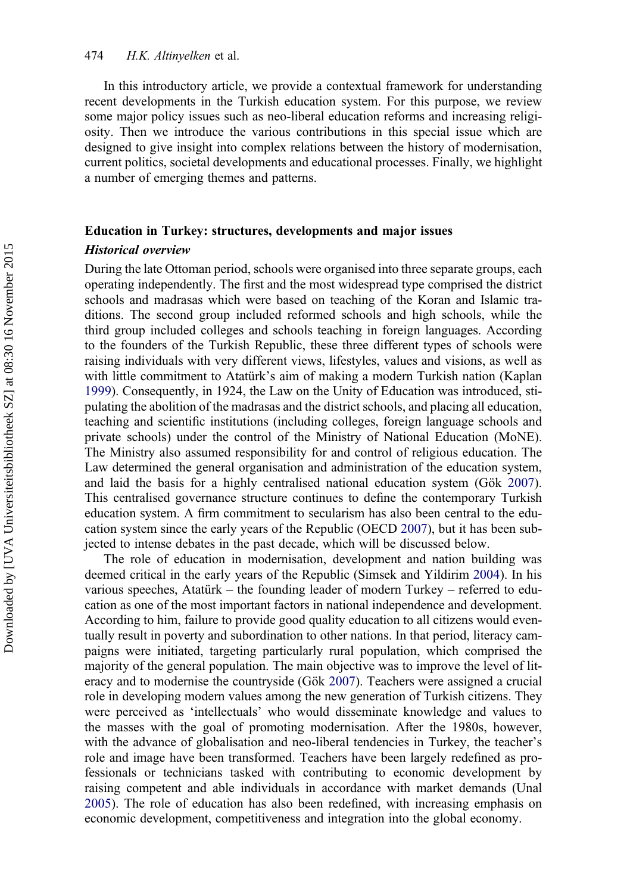In this introductory article, we provide a contextual framework for understanding recent developments in the Turkish education system. For this purpose, we review some major policy issues such as neo-liberal education reforms and increasing religiosity. Then we introduce the various contributions in this special issue which are designed to give insight into complex relations between the history of modernisation, current politics, societal developments and educational processes. Finally, we highlight a number of emerging themes and patterns.

## Education in Turkey: structures, developments and major issues

#### Historical overview

During the late Ottoman period, schools were organised into three separate groups, each operating independently. The first and the most widespread type comprised the district schools and madrasas which were based on teaching of the Koran and Islamic traditions. The second group included reformed schools and high schools, while the third group included colleges and schools teaching in foreign languages. According to the founders of the Turkish Republic, these three different types of schools were raising individuals with very different views, lifestyles, values and visions, as well as with little commitment to Atatürk's aim of making a modern Turkish nation (Kaplan [1999\)](#page-11-0). Consequently, in 1924, the Law on the Unity of Education was introduced, stipulating the abolition of the madrasas and the district schools, and placing all education, teaching and scientific institutions (including colleges, foreign language schools and private schools) under the control of the Ministry of National Education (MoNE). The Ministry also assumed responsibility for and control of religious education. The Law determined the general organisation and administration of the education system, and laid the basis for a highly centralised national education system (Gök [2007\)](#page-11-0). This centralised governance structure continues to define the contemporary Turkish education system. A firm commitment to secularism has also been central to the education system since the early years of the Republic (OECD [2007](#page-11-0)), but it has been subjected to intense debates in the past decade, which will be discussed below.

The role of education in modernisation, development and nation building was deemed critical in the early years of the Republic (Simsek and Yildirim [2004](#page-11-0)). In his various speeches, Atatürk – the founding leader of modern Turkey – referred to education as one of the most important factors in national independence and development. According to him, failure to provide good quality education to all citizens would eventually result in poverty and subordination to other nations. In that period, literacy campaigns were initiated, targeting particularly rural population, which comprised the majority of the general population. The main objective was to improve the level of literacy and to modernise the countryside (Gök [2007\)](#page-11-0). Teachers were assigned a crucial role in developing modern values among the new generation of Turkish citizens. They were perceived as 'intellectuals' who would disseminate knowledge and values to the masses with the goal of promoting modernisation. After the 1980s, however, with the advance of globalisation and neo-liberal tendencies in Turkey, the teacher's role and image have been transformed. Teachers have been largely redefined as professionals or technicians tasked with contributing to economic development by raising competent and able individuals in accordance with market demands (Unal [2005\)](#page-11-0). The role of education has also been redefined, with increasing emphasis on economic development, competitiveness and integration into the global economy.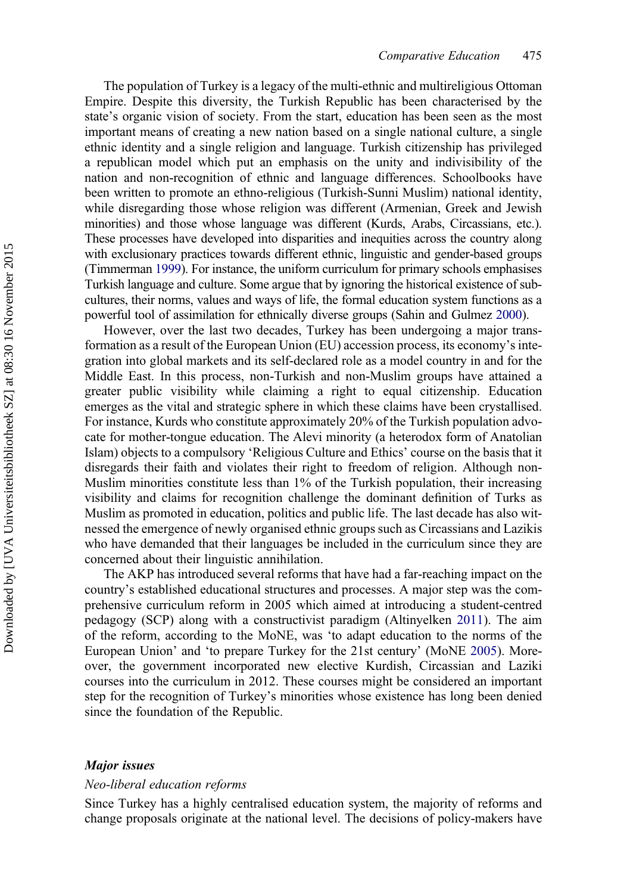The population of Turkey is a legacy of the multi-ethnic and multireligious Ottoman Empire. Despite this diversity, the Turkish Republic has been characterised by the state's organic vision of society. From the start, education has been seen as the most important means of creating a new nation based on a single national culture, a single ethnic identity and a single religion and language. Turkish citizenship has privileged a republican model which put an emphasis on the unity and indivisibility of the nation and non-recognition of ethnic and language differences. Schoolbooks have been written to promote an ethno-religious (Turkish-Sunni Muslim) national identity, while disregarding those whose religion was different (Armenian, Greek and Jewish minorities) and those whose language was different (Kurds, Arabs, Circassians, etc.). These processes have developed into disparities and inequities across the country along with exclusionary practices towards different ethnic, linguistic and gender-based groups (Timmerman [1999\)](#page-11-0). For instance, the uniform curriculum for primary schools emphasises Turkish language and culture. Some argue that by ignoring the historical existence of subcultures, their norms, values and ways of life, the formal education system functions as a powerful tool of assimilation for ethnically diverse groups (Sahin and Gulmez [2000\)](#page-11-0).

However, over the last two decades, Turkey has been undergoing a major transformation as a result of the European Union (EU) accession process, its economy's integration into global markets and its self-declared role as a model country in and for the Middle East. In this process, non-Turkish and non-Muslim groups have attained a greater public visibility while claiming a right to equal citizenship. Education emerges as the vital and strategic sphere in which these claims have been crystallised. For instance, Kurds who constitute approximately 20% of the Turkish population advocate for mother-tongue education. The Alevi minority (a heterodox form of Anatolian Islam) objects to a compulsory 'Religious Culture and Ethics' course on the basis that it disregards their faith and violates their right to freedom of religion. Although non-Muslim minorities constitute less than 1% of the Turkish population, their increasing visibility and claims for recognition challenge the dominant definition of Turks as Muslim as promoted in education, politics and public life. The last decade has also witnessed the emergence of newly organised ethnic groups such as Circassians and Lazikis who have demanded that their languages be included in the curriculum since they are concerned about their linguistic annihilation.

The AKP has introduced several reforms that have had a far-reaching impact on the country's established educational structures and processes. A major step was the comprehensive curriculum reform in 2005 which aimed at introducing a student-centred pedagogy (SCP) along with a constructivist paradigm (Altinyelken [2011\)](#page-10-0). The aim of the reform, according to the MoNE, was 'to adapt education to the norms of the European Union' and 'to prepare Turkey for the 21st century' (MoNE [2005](#page-11-0)). Moreover, the government incorporated new elective Kurdish, Circassian and Laziki courses into the curriculum in 2012. These courses might be considered an important step for the recognition of Turkey's minorities whose existence has long been denied since the foundation of the Republic.

#### Major issues

#### Neo-liberal education reforms

Since Turkey has a highly centralised education system, the majority of reforms and change proposals originate at the national level. The decisions of policy-makers have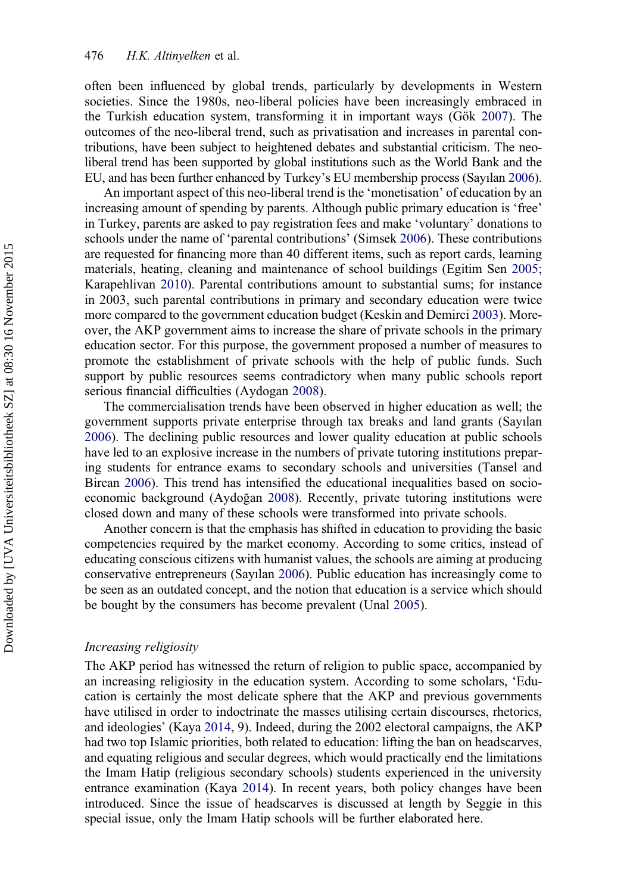often been influenced by global trends, particularly by developments in Western societies. Since the 1980s, neo-liberal policies have been increasingly embraced in the Turkish education system, transforming it in important ways (Gök [2007\)](#page-11-0). The outcomes of the neo-liberal trend, such as privatisation and increases in parental contributions, have been subject to heightened debates and substantial criticism. The neoliberal trend has been supported by global institutions such as the World Bank and the EU, and has been further enhanced by Turkey's EU membership process (Sayılan [2006\)](#page-11-0).

An important aspect of this neo-liberal trend is the 'monetisation' of education by an increasing amount of spending by parents. Although public primary education is 'free' in Turkey, parents are asked to pay registration fees and make 'voluntary' donations to schools under the name of 'parental contributions' (Simsek [2006\)](#page-11-0). These contributions are requested for financing more than 40 different items, such as report cards, learning materials, heating, cleaning and maintenance of school buildings (Egitim Sen [2005;](#page-11-0) Karapehlivan [2010](#page-11-0)). Parental contributions amount to substantial sums; for instance in 2003, such parental contributions in primary and secondary education were twice more compared to the government education budget (Keskin and Demirci [2003\)](#page-11-0). Moreover, the AKP government aims to increase the share of private schools in the primary education sector. For this purpose, the government proposed a number of measures to promote the establishment of private schools with the help of public funds. Such support by public resources seems contradictory when many public schools report serious financial difficulties (Aydogan [2008](#page-10-0)).

The commercialisation trends have been observed in higher education as well; the government supports private enterprise through tax breaks and land grants (Sayılan [2006\)](#page-11-0). The declining public resources and lower quality education at public schools have led to an explosive increase in the numbers of private tutoring institutions preparing students for entrance exams to secondary schools and universities (Tansel and Bircan [2006\)](#page-11-0). This trend has intensified the educational inequalities based on socio-economic background (Aydoğan [2008\)](#page-10-0). Recently, private tutoring institutions were closed down and many of these schools were transformed into private schools.

Another concern is that the emphasis has shifted in education to providing the basic competencies required by the market economy. According to some critics, instead of educating conscious citizens with humanist values, the schools are aiming at producing conservative entrepreneurs (Sayılan [2006](#page-11-0)). Public education has increasingly come to be seen as an outdated concept, and the notion that education is a service which should be bought by the consumers has become prevalent (Unal [2005\)](#page-11-0).

## Increasing religiosity

The AKP period has witnessed the return of religion to public space, accompanied by an increasing religiosity in the education system. According to some scholars, 'Education is certainly the most delicate sphere that the AKP and previous governments have utilised in order to indoctrinate the masses utilising certain discourses, rhetorics, and ideologies' (Kaya [2014,](#page-11-0) 9). Indeed, during the 2002 electoral campaigns, the AKP had two top Islamic priorities, both related to education: lifting the ban on headscarves, and equating religious and secular degrees, which would practically end the limitations the Imam Hatip (religious secondary schools) students experienced in the university entrance examination (Kaya [2014\)](#page-11-0). In recent years, both policy changes have been introduced. Since the issue of headscarves is discussed at length by Seggie in this special issue, only the Imam Hatip schools will be further elaborated here.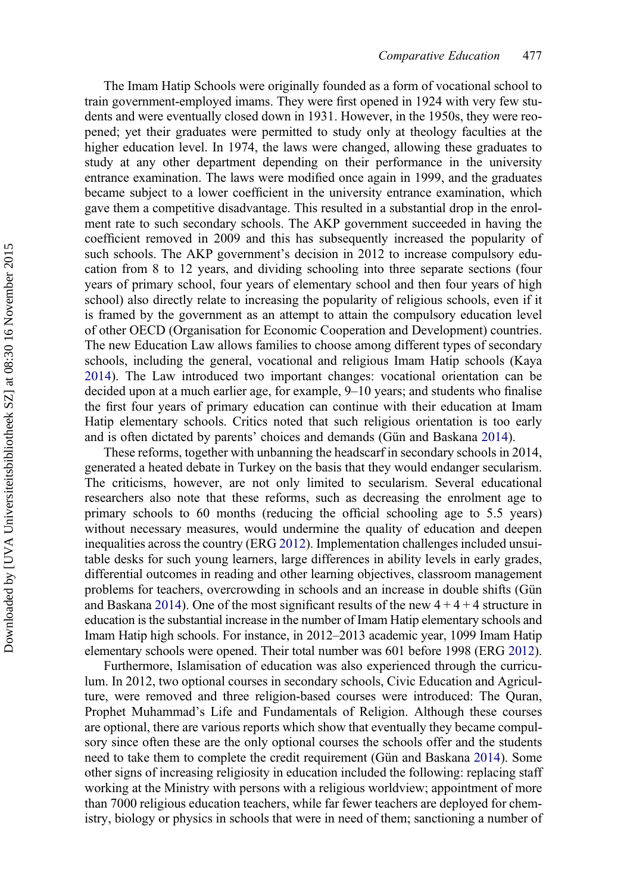The Imam Hatip Schools were originally founded as a form of vocational school to train government-employed imams. They were first opened in 1924 with very few students and were eventually closed down in 1931. However, in the 1950s, they were reopened; yet their graduates were permitted to study only at theology faculties at the higher education level. In 1974, the laws were changed, allowing these graduates to study at any other department depending on their performance in the university entrance examination. The laws were modified once again in 1999, and the graduates became subject to a lower coefficient in the university entrance examination, which gave them a competitive disadvantage. This resulted in a substantial drop in the enrolment rate to such secondary schools. The AKP government succeeded in having the coefficient removed in 2009 and this has subsequently increased the popularity of such schools. The AKP government's decision in 2012 to increase compulsory education from 8 to 12 years, and dividing schooling into three separate sections (four years of primary school, four years of elementary school and then four years of high school) also directly relate to increasing the popularity of religious schools, even if it is framed by the government as an attempt to attain the compulsory education level of other OECD (Organisation for Economic Cooperation and Development) countries. The new Education Law allows families to choose among different types of secondary schools, including the general, vocational and religious Imam Hatip schools (Kaya [2014\)](#page-11-0). The Law introduced two important changes: vocational orientation can be decided upon at a much earlier age, for example, 9–10 years; and students who finalise the first four years of primary education can continue with their education at Imam Hatip elementary schools. Critics noted that such religious orientation is too early and is often dictated by parents' choices and demands (Gün and Baskana [2014\)](#page-11-0).

These reforms, together with unbanning the headscarf in secondary schools in 2014, generated a heated debate in Turkey on the basis that they would endanger secularism. The criticisms, however, are not only limited to secularism. Several educational researchers also note that these reforms, such as decreasing the enrolment age to primary schools to 60 months (reducing the official schooling age to 5.5 years) without necessary measures, would undermine the quality of education and deepen inequalities across the country (ERG [2012\)](#page-11-0). Implementation challenges included unsuitable desks for such young learners, large differences in ability levels in early grades, differential outcomes in reading and other learning objectives, classroom management problems for teachers, overcrowding in schools and an increase in double shifts (Gün and Baskana [2014\)](#page-11-0). One of the most significant results of the new  $4 + 4 + 4$  structure in education is the substantial increase in the number of Imam Hatip elementary schools and Imam Hatip high schools. For instance, in 2012–2013 academic year, 1099 Imam Hatip elementary schools were opened. Their total number was 601 before 1998 (ERG [2012\)](#page-11-0).

Furthermore, Islamisation of education was also experienced through the curriculum. In 2012, two optional courses in secondary schools, Civic Education and Agriculture, were removed and three religion-based courses were introduced: The Quran, Prophet Muhammad's Life and Fundamentals of Religion. Although these courses are optional, there are various reports which show that eventually they became compulsory since often these are the only optional courses the schools offer and the students need to take them to complete the credit requirement (Gün and Baskana [2014\)](#page-11-0). Some other signs of increasing religiosity in education included the following: replacing staff working at the Ministry with persons with a religious worldview; appointment of more than 7000 religious education teachers, while far fewer teachers are deployed for chemistry, biology or physics in schools that were in need of them; sanctioning a number of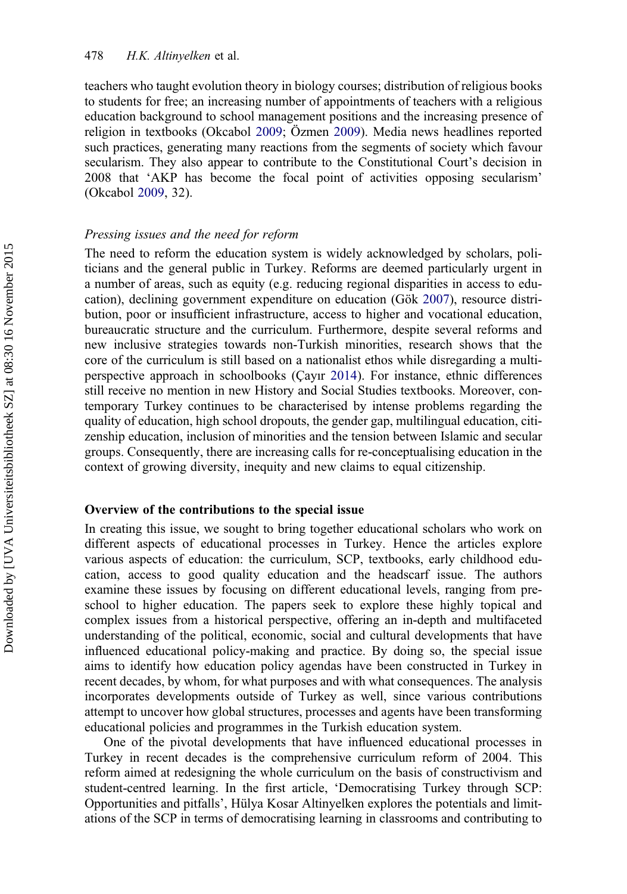teachers who taught evolution theory in biology courses; distribution of religious books to students for free; an increasing number of appointments of teachers with a religious education background to school management positions and the increasing presence of religion in textbooks (Okcabol [2009](#page-11-0); Özmen [2009\)](#page-11-0). Media news headlines reported such practices, generating many reactions from the segments of society which favour secularism. They also appear to contribute to the Constitutional Court's decision in 2008 that 'AKP has become the focal point of activities opposing secularism' (Okcabol [2009](#page-11-0), 32).

## Pressing issues and the need for reform

The need to reform the education system is widely acknowledged by scholars, politicians and the general public in Turkey. Reforms are deemed particularly urgent in a number of areas, such as equity (e.g. reducing regional disparities in access to education), declining government expenditure on education (Gök [2007\)](#page-11-0), resource distribution, poor or insufficient infrastructure, access to higher and vocational education, bureaucratic structure and the curriculum. Furthermore, despite several reforms and new inclusive strategies towards non-Turkish minorities, research shows that the core of the curriculum is still based on a nationalist ethos while disregarding a multiperspective approach in schoolbooks (Çayır [2014](#page-10-0)). For instance, ethnic differences still receive no mention in new History and Social Studies textbooks. Moreover, contemporary Turkey continues to be characterised by intense problems regarding the quality of education, high school dropouts, the gender gap, multilingual education, citizenship education, inclusion of minorities and the tension between Islamic and secular groups. Consequently, there are increasing calls for re-conceptualising education in the context of growing diversity, inequity and new claims to equal citizenship.

#### Overview of the contributions to the special issue

In creating this issue, we sought to bring together educational scholars who work on different aspects of educational processes in Turkey. Hence the articles explore various aspects of education: the curriculum, SCP, textbooks, early childhood education, access to good quality education and the headscarf issue. The authors examine these issues by focusing on different educational levels, ranging from preschool to higher education. The papers seek to explore these highly topical and complex issues from a historical perspective, offering an in-depth and multifaceted understanding of the political, economic, social and cultural developments that have influenced educational policy-making and practice. By doing so, the special issue aims to identify how education policy agendas have been constructed in Turkey in recent decades, by whom, for what purposes and with what consequences. The analysis incorporates developments outside of Turkey as well, since various contributions attempt to uncover how global structures, processes and agents have been transforming educational policies and programmes in the Turkish education system.

One of the pivotal developments that have influenced educational processes in Turkey in recent decades is the comprehensive curriculum reform of 2004. This reform aimed at redesigning the whole curriculum on the basis of constructivism and student-centred learning. In the first article, 'Democratising Turkey through SCP: Opportunities and pitfalls', Hülya Kosar Altinyelken explores the potentials and limitations of the SCP in terms of democratising learning in classrooms and contributing to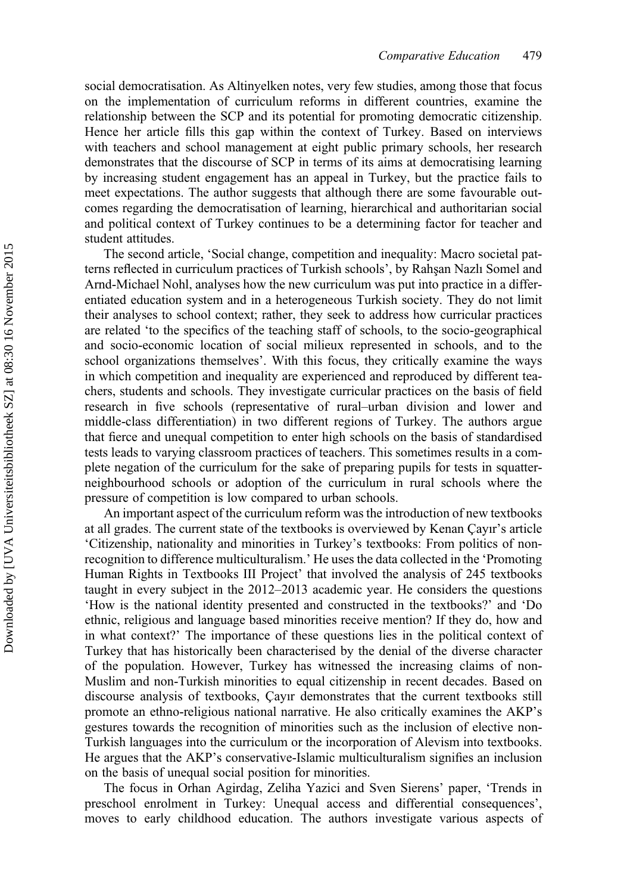social democratisation. As Altinyelken notes, very few studies, among those that focus on the implementation of curriculum reforms in different countries, examine the relationship between the SCP and its potential for promoting democratic citizenship. Hence her article fills this gap within the context of Turkey. Based on interviews with teachers and school management at eight public primary schools, her research demonstrates that the discourse of SCP in terms of its aims at democratising learning by increasing student engagement has an appeal in Turkey, but the practice fails to meet expectations. The author suggests that although there are some favourable outcomes regarding the democratisation of learning, hierarchical and authoritarian social and political context of Turkey continues to be a determining factor for teacher and student attitudes.

The second article, 'Social change, competition and inequality: Macro societal patterns reflected in curriculum practices of Turkish schools', by Rahsan Nazlı Somel and Arnd-Michael Nohl, analyses how the new curriculum was put into practice in a differentiated education system and in a heterogeneous Turkish society. They do not limit their analyses to school context; rather, they seek to address how curricular practices are related 'to the specifics of the teaching staff of schools, to the socio-geographical and socio-economic location of social milieux represented in schools, and to the school organizations themselves'. With this focus, they critically examine the ways in which competition and inequality are experienced and reproduced by different teachers, students and schools. They investigate curricular practices on the basis of field research in five schools (representative of rural–urban division and lower and middle-class differentiation) in two different regions of Turkey. The authors argue that fierce and unequal competition to enter high schools on the basis of standardised tests leads to varying classroom practices of teachers. This sometimes results in a complete negation of the curriculum for the sake of preparing pupils for tests in squatterneighbourhood schools or adoption of the curriculum in rural schools where the pressure of competition is low compared to urban schools.

An important aspect of the curriculum reform was the introduction of new textbooks at all grades. The current state of the textbooks is overviewed by Kenan Çayır's article 'Citizenship, nationality and minorities in Turkey's textbooks: From politics of nonrecognition to difference multiculturalism.' He uses the data collected in the 'Promoting Human Rights in Textbooks III Project' that involved the analysis of 245 textbooks taught in every subject in the 2012–2013 academic year. He considers the questions 'How is the national identity presented and constructed in the textbooks?' and 'Do ethnic, religious and language based minorities receive mention? If they do, how and in what context?' The importance of these questions lies in the political context of Turkey that has historically been characterised by the denial of the diverse character of the population. However, Turkey has witnessed the increasing claims of non-Muslim and non-Turkish minorities to equal citizenship in recent decades. Based on discourse analysis of textbooks, Çayır demonstrates that the current textbooks still promote an ethno-religious national narrative. He also critically examines the AKP's gestures towards the recognition of minorities such as the inclusion of elective non-Turkish languages into the curriculum or the incorporation of Alevism into textbooks. He argues that the AKP's conservative-Islamic multiculturalism signifies an inclusion on the basis of unequal social position for minorities.

The focus in Orhan Agirdag, Zeliha Yazici and Sven Sierens' paper, 'Trends in preschool enrolment in Turkey: Unequal access and differential consequences', moves to early childhood education. The authors investigate various aspects of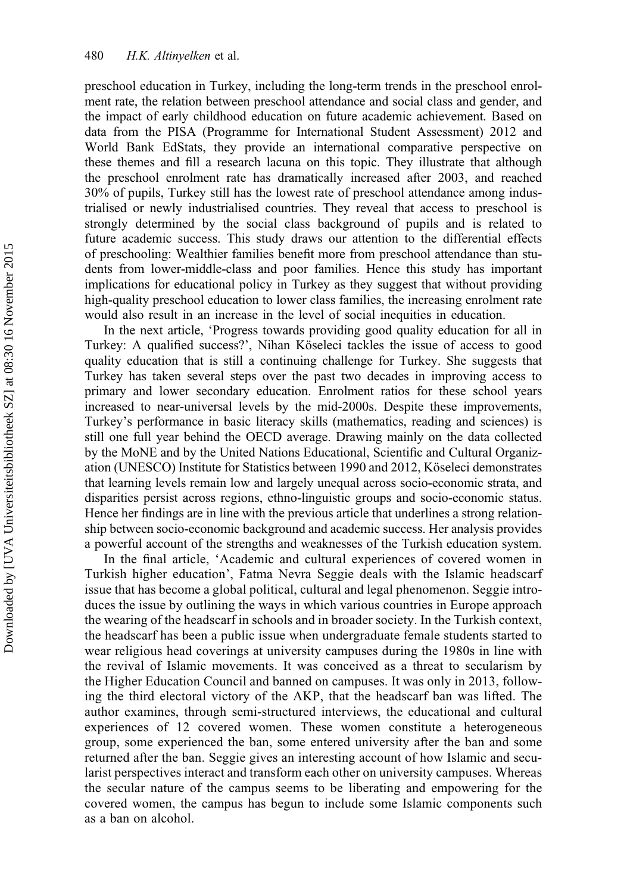preschool education in Turkey, including the long-term trends in the preschool enrolment rate, the relation between preschool attendance and social class and gender, and the impact of early childhood education on future academic achievement. Based on data from the PISA (Programme for International Student Assessment) 2012 and World Bank EdStats, they provide an international comparative perspective on these themes and fill a research lacuna on this topic. They illustrate that although the preschool enrolment rate has dramatically increased after 2003, and reached 30% of pupils, Turkey still has the lowest rate of preschool attendance among industrialised or newly industrialised countries. They reveal that access to preschool is strongly determined by the social class background of pupils and is related to future academic success. This study draws our attention to the differential effects of preschooling: Wealthier families benefit more from preschool attendance than students from lower-middle-class and poor families. Hence this study has important implications for educational policy in Turkey as they suggest that without providing high-quality preschool education to lower class families, the increasing enrolment rate would also result in an increase in the level of social inequities in education.

In the next article, 'Progress towards providing good quality education for all in Turkey: A qualified success?', Nihan Köseleci tackles the issue of access to good quality education that is still a continuing challenge for Turkey. She suggests that Turkey has taken several steps over the past two decades in improving access to primary and lower secondary education. Enrolment ratios for these school years increased to near-universal levels by the mid-2000s. Despite these improvements, Turkey's performance in basic literacy skills (mathematics, reading and sciences) is still one full year behind the OECD average. Drawing mainly on the data collected by the MoNE and by the United Nations Educational, Scientific and Cultural Organization (UNESCO) Institute for Statistics between 1990 and 2012, Köseleci demonstrates that learning levels remain low and largely unequal across socio-economic strata, and disparities persist across regions, ethno-linguistic groups and socio-economic status. Hence her findings are in line with the previous article that underlines a strong relationship between socio-economic background and academic success. Her analysis provides a powerful account of the strengths and weaknesses of the Turkish education system.

In the final article, 'Academic and cultural experiences of covered women in Turkish higher education', Fatma Nevra Seggie deals with the Islamic headscarf issue that has become a global political, cultural and legal phenomenon. Seggie introduces the issue by outlining the ways in which various countries in Europe approach the wearing of the headscarf in schools and in broader society. In the Turkish context, the headscarf has been a public issue when undergraduate female students started to wear religious head coverings at university campuses during the 1980s in line with the revival of Islamic movements. It was conceived as a threat to secularism by the Higher Education Council and banned on campuses. It was only in 2013, following the third electoral victory of the AKP, that the headscarf ban was lifted. The author examines, through semi-structured interviews, the educational and cultural experiences of 12 covered women. These women constitute a heterogeneous group, some experienced the ban, some entered university after the ban and some returned after the ban. Seggie gives an interesting account of how Islamic and secularist perspectives interact and transform each other on university campuses. Whereas the secular nature of the campus seems to be liberating and empowering for the covered women, the campus has begun to include some Islamic components such as a ban on alcohol.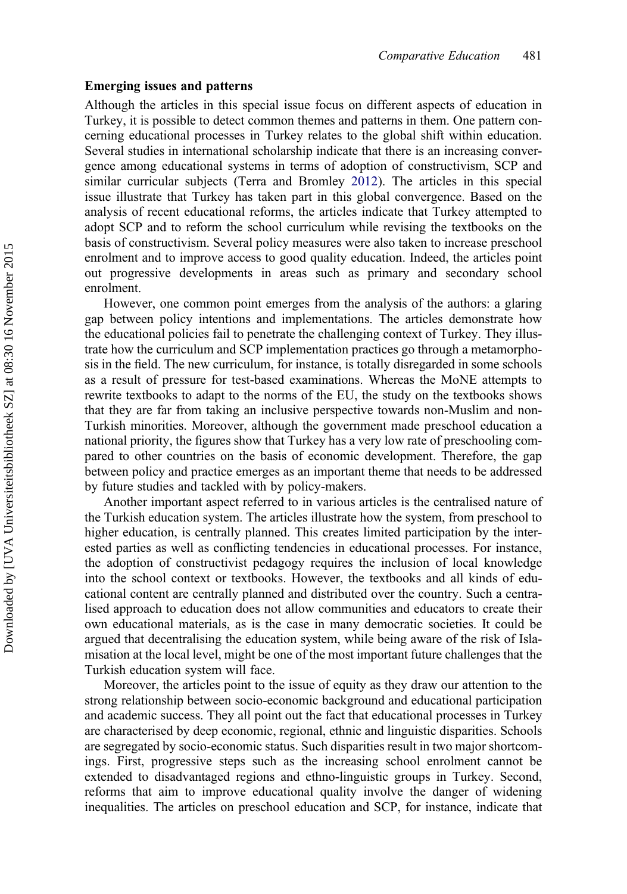#### Emerging issues and patterns

Although the articles in this special issue focus on different aspects of education in Turkey, it is possible to detect common themes and patterns in them. One pattern concerning educational processes in Turkey relates to the global shift within education. Several studies in international scholarship indicate that there is an increasing convergence among educational systems in terms of adoption of constructivism, SCP and similar curricular subjects (Terra and Bromley [2012](#page-11-0)). The articles in this special issue illustrate that Turkey has taken part in this global convergence. Based on the analysis of recent educational reforms, the articles indicate that Turkey attempted to adopt SCP and to reform the school curriculum while revising the textbooks on the basis of constructivism. Several policy measures were also taken to increase preschool enrolment and to improve access to good quality education. Indeed, the articles point out progressive developments in areas such as primary and secondary school enrolment.

However, one common point emerges from the analysis of the authors: a glaring gap between policy intentions and implementations. The articles demonstrate how the educational policies fail to penetrate the challenging context of Turkey. They illustrate how the curriculum and SCP implementation practices go through a metamorphosis in the field. The new curriculum, for instance, is totally disregarded in some schools as a result of pressure for test-based examinations. Whereas the MoNE attempts to rewrite textbooks to adapt to the norms of the EU, the study on the textbooks shows that they are far from taking an inclusive perspective towards non-Muslim and non-Turkish minorities. Moreover, although the government made preschool education a national priority, the figures show that Turkey has a very low rate of preschooling compared to other countries on the basis of economic development. Therefore, the gap between policy and practice emerges as an important theme that needs to be addressed by future studies and tackled with by policy-makers.

Another important aspect referred to in various articles is the centralised nature of the Turkish education system. The articles illustrate how the system, from preschool to higher education, is centrally planned. This creates limited participation by the interested parties as well as conflicting tendencies in educational processes. For instance, the adoption of constructivist pedagogy requires the inclusion of local knowledge into the school context or textbooks. However, the textbooks and all kinds of educational content are centrally planned and distributed over the country. Such a centralised approach to education does not allow communities and educators to create their own educational materials, as is the case in many democratic societies. It could be argued that decentralising the education system, while being aware of the risk of Islamisation at the local level, might be one of the most important future challenges that the Turkish education system will face.

Moreover, the articles point to the issue of equity as they draw our attention to the strong relationship between socio-economic background and educational participation and academic success. They all point out the fact that educational processes in Turkey are characterised by deep economic, regional, ethnic and linguistic disparities. Schools are segregated by socio-economic status. Such disparities result in two major shortcomings. First, progressive steps such as the increasing school enrolment cannot be extended to disadvantaged regions and ethno-linguistic groups in Turkey. Second, reforms that aim to improve educational quality involve the danger of widening inequalities. The articles on preschool education and SCP, for instance, indicate that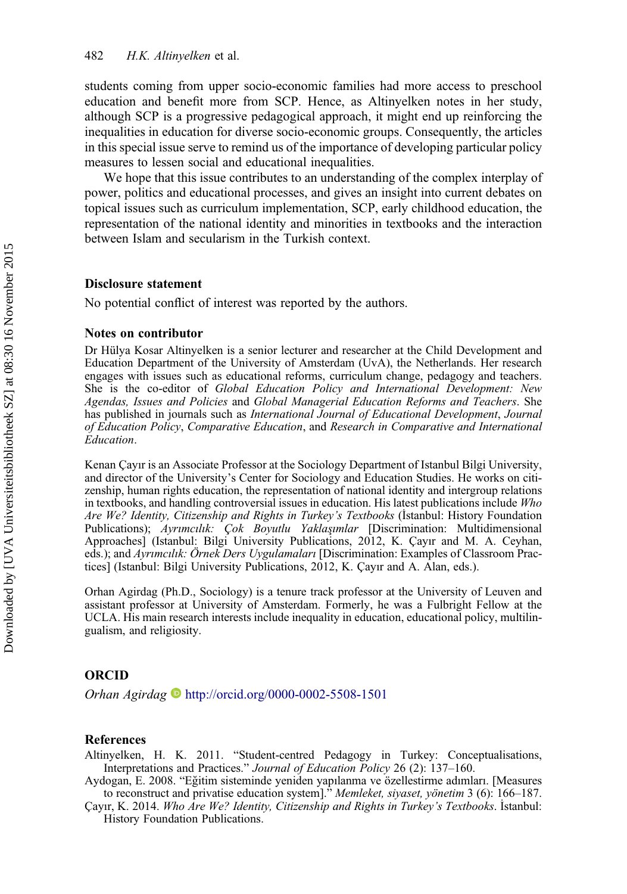<span id="page-10-0"></span>students coming from upper socio-economic families had more access to preschool education and benefit more from SCP. Hence, as Altinyelken notes in her study, although SCP is a progressive pedagogical approach, it might end up reinforcing the inequalities in education for diverse socio-economic groups. Consequently, the articles in this special issue serve to remind us of the importance of developing particular policy measures to lessen social and educational inequalities.

We hope that this issue contributes to an understanding of the complex interplay of power, politics and educational processes, and gives an insight into current debates on topical issues such as curriculum implementation, SCP, early childhood education, the representation of the national identity and minorities in textbooks and the interaction between Islam and secularism in the Turkish context.

#### Disclosure statement

No potential conflict of interest was reported by the authors.

#### Notes on contributor

Dr Hülya Kosar Altinyelken is a senior lecturer and researcher at the Child Development and Education Department of the University of Amsterdam (UvA), the Netherlands. Her research engages with issues such as educational reforms, curriculum change, pedagogy and teachers. She is the co-editor of Global Education Policy and International Development: New Agendas, Issues and Policies and Global Managerial Education Reforms and Teachers. She has published in journals such as International Journal of Educational Development, Journal of Education Policy, Comparative Education, and Research in Comparative and International Education.

Kenan Çayır is an Associate Professor at the Sociology Department of Istanbul Bilgi University, and director of the University's Center for Sociology and Education Studies. He works on citizenship, human rights education, the representation of national identity and intergroup relations in textbooks, and handling controversial issues in education. His latest publications include Who Are We? Identity, Citizenship and Rights in Turkey's Textbooks (İstanbul: History Foundation Publications); Ayrımcılık: Çok Boyutlu Yaklaşımlar [Discrimination: Multidimensional Approaches] (Istanbul: Bilgi University Publications, 2012, K. Çayır and M. A. Ceyhan, eds.); and Ayrımcılık: Örnek Ders Uygulamaları [Discrimination: Examples of Classroom Practices] (Istanbul: Bilgi University Publications, 2012, K. Çayır and A. Alan, eds.).

Orhan Agirdag (Ph.D., Sociology) is a tenure track professor at the University of Leuven and assistant professor at University of Amsterdam. Formerly, he was a Fulbright Fellow at the UCLA. His main research interests include inequality in education, educational policy, multilingualism, and religiosity.

## **ORCID**

Orhan Agirdag <http://orcid.org/0000-0002-5508-1501>

#### References

Altinyelken, H. K. 2011. "Student-centred Pedagogy in Turkey: Conceptualisations, Interpretations and Practices." Journal of Education Policy 26 (2): 137–160.

Aydogan, E. 2008. "Eğitim sisteminde yeniden yapılanma ve özellestirme adımları. [Measures to reconstruct and privatise education system]." Memleket, siyaset, yönetim 3 (6): 166–187.

Çayır, K. 2014. Who Are We? Identity, Citizenship and Rights in Turkey's Textbooks. Istanbul: History Foundation Publications.